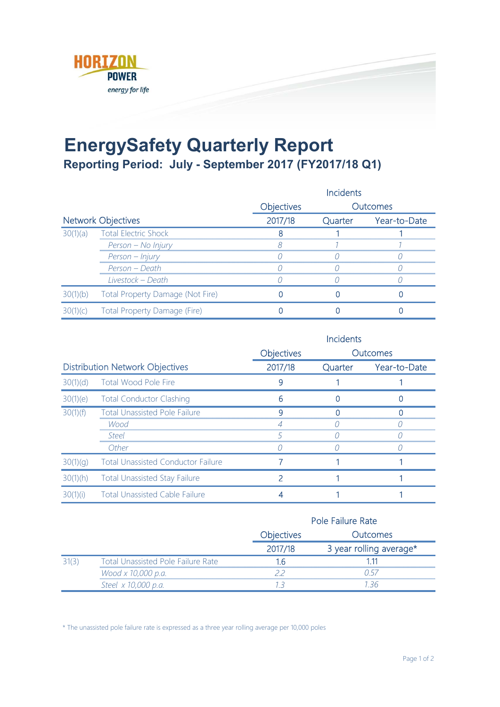

## **EnergySafety Quarterly Report Reporting Period: July - September 2017 (FY2017/18 Q1)**

|                           |                                    | <b>Incidents</b> |  |                      |
|---------------------------|------------------------------------|------------------|--|----------------------|
|                           |                                    | Objectives       |  | Outcomes             |
| <b>Network Objectives</b> |                                    | 2017/18          |  | Quarter Year-to-Date |
| 30(1)(a)                  | <b>Total Electric Shock</b>        |                  |  |                      |
|                           | Person – No Injury                 |                  |  |                      |
|                           | Person - Injury                    |                  |  |                      |
|                           | Person – Death                     |                  |  |                      |
|                           | Livestock – Death                  |                  |  |                      |
|                           | Total Property Damage (Not Fire)   |                  |  |                      |
|                           | 1)(c) Total Property Damage (Fire) |                  |  |                      |

|                                        |                                           |                   | Incidents |              |
|----------------------------------------|-------------------------------------------|-------------------|-----------|--------------|
|                                        |                                           | <b>Objectives</b> |           | Outcomes     |
| <b>Distribution Network Objectives</b> |                                           | 2017/18           | Quarter   | Year-to-Date |
|                                        | 30(1)(d) Total Wood Pole Fire             |                   |           |              |
|                                        | 30(1)(e) Total Conductor Clashing         |                   |           |              |
| 30(1)(f)                               | <b>Total Unassisted Pole Failure</b>      |                   |           |              |
|                                        | Wood                                      |                   |           |              |
|                                        | Steel                                     |                   |           |              |
|                                        | Other                                     |                   |           |              |
| 30(1)(q)                               | <b>Total Unassisted Conductor Failure</b> |                   |           |              |
| 30(1)(h)                               | <b>Total Unassisted Stay Failure</b>      |                   |           |              |
| 30(1)(i)                               | <b>Total Unassisted Cable Failure</b>     |                   |           |              |

|                                           |                   | Pole Failure Rate       |  |  |
|-------------------------------------------|-------------------|-------------------------|--|--|
|                                           | <b>Objectives</b> | Dutcomes                |  |  |
|                                           | 2017/18           | 3 year rolling average* |  |  |
| <b>Total Unassisted Pole Failure Rate</b> |                   |                         |  |  |
| Wood x 10,000 p.a.                        |                   |                         |  |  |
| Steel x 10,000 p.a.                       |                   |                         |  |  |

\* The unassisted pole failure rate is expressed as a three year rolling average per 10,000 poles